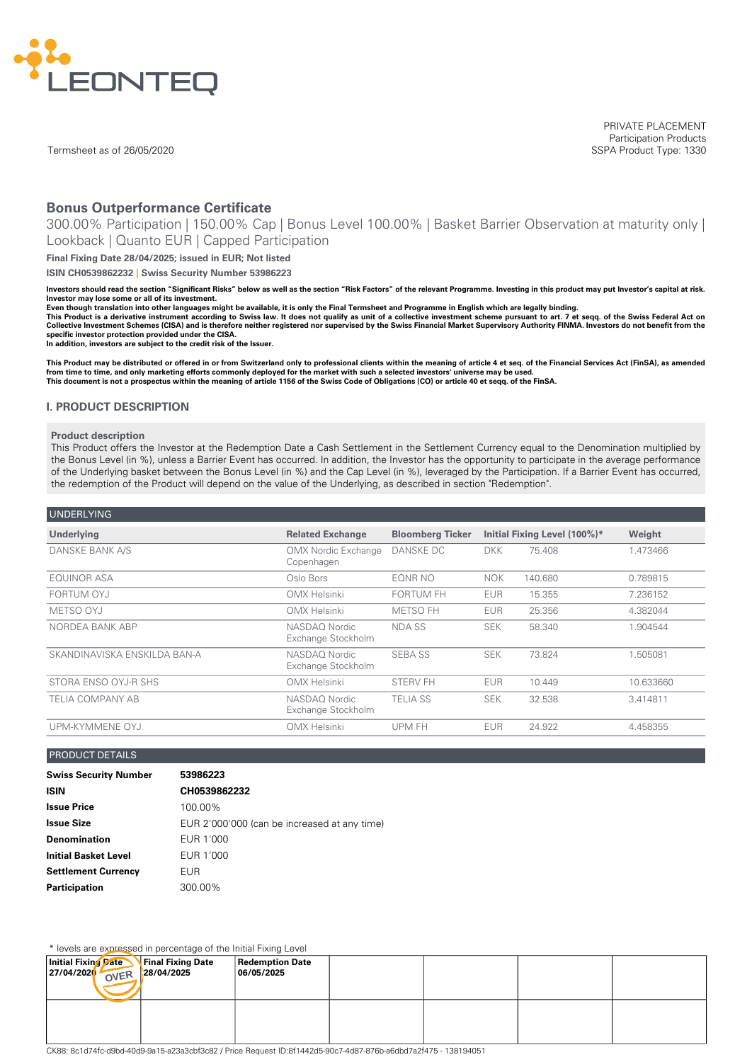

Termsheet as of 26/05/2020

PRIVATE PLACEMENT Participation Products SSPA Product Type: 1330

# **Bonus Outperformance Certificate**

300.00% Participation | 150.00% Cap | Bonus Level 100.00% | Basket Barrier Observation at maturity only | Lookback | Quanto EUR | Capped Participation

**Final Fixing Date 28/04/2025; issued in EUR; Not listed**

**ISIN CH0539862232 | Swiss Security Number 53986223**

Investors should read the section "Significant Risks" below as well as the section "Risk Factors" of the relevant Programme. Investing in this product may put Investor's capital at risk. **Investor may lose some or all of its investment.**

Even though translation into other languages might be available, it is only the Final Termsheet and Programme in English which are legally binding.

This Product is a derivative instrument according to Swiss law. It does not qualify as unit of a collective investment scheme pursuant to art. 7 et seqq. of the Swiss Federal Act on<br>Collective Investment Schemes (CISA) and **specific investor protection provided under the CISA.**

**In addition, investors are subject to the credit risk of the Issuer.**

This Product may be distributed or offered in or from Switzerland only to professional clients within the meaning of article 4 et seq. of the Financial Services Act (FinSA), as amended<br>from time to time, and only marketing This document is not a prospectus within the meaning of article 1156 of the Swiss Code of Obligations (CO) or article 40 et seqq. of the FinSA.

#### **I. PRODUCT DESCRIPTION**

#### **Product description**

This Product offers the Investor at the Redemption Date a Cash Settlement in the Settlement Currency equal to the Denomination multiplied by the Bonus Level (in %), unless a Barrier Event has occurred. In addition, the Investor has the opportunity to participate in the average performance of the Underlying basket between the Bonus Level (in %) and the Cap Level (in %), leveraged by the Participation. If a Barrier Event has occurred, the redemption of the Product will depend on the value of the Underlying, as described in section "Redemption".

| <b>UNDERLYING</b>            |                                          |                         |            |                              |           |
|------------------------------|------------------------------------------|-------------------------|------------|------------------------------|-----------|
| <b>Underlying</b>            | <b>Related Exchange</b>                  | <b>Bloomberg Ticker</b> |            | Initial Fixing Level (100%)* | Weight    |
| DANSKE BANK A/S              | <b>OMX Nordic Exchange</b><br>Copenhagen | DANSKE DC               | <b>DKK</b> | 75.408                       | 1.473466  |
| <b>EQUINOR ASA</b>           | Oslo Bors                                | EONR NO                 | <b>NOK</b> | 140.680                      | 0.789815  |
| FORTUM OYJ                   | <b>OMX Helsinki</b>                      | <b>FORTUM FH</b>        | <b>EUR</b> | 15.355                       | 7.236152  |
| METSO OYJ                    | <b>OMX Helsinki</b>                      | <b>METSO FH</b>         | <b>EUR</b> | 25.356                       | 4.382044  |
| NORDEA BANK ABP              | NASDAQ Nordic<br>Exchange Stockholm      | NDA SS                  | <b>SEK</b> | 58.340                       | 1.904544  |
| SKANDINAVISKA ENSKILDA BAN-A | NASDAO Nordic<br>Exchange Stockholm      | <b>SEBA SS</b>          | <b>SEK</b> | 73.824                       | 1.505081  |
| STORA ENSO OYJ-R SHS         | <b>OMX Helsinki</b>                      | <b>STERV FH</b>         | <b>EUR</b> | 10.449                       | 10.633660 |
| TELIA COMPANY AB             | NASDAO Nordic<br>Exchange Stockholm      | <b>TELIA SS</b>         | <b>SEK</b> | 32.538                       | 3.414811  |
| UPM-KYMMENE OYJ              | <b>OMX Helsinki</b>                      | UPM FH                  | <b>EUR</b> | 24.922                       | 4.458355  |

#### PRODUCT DETAILS

| <b>Swiss Security Number</b> | 53986223                                     |
|------------------------------|----------------------------------------------|
| <b>ISIN</b>                  | CH0539862232                                 |
| <b>Issue Price</b>           | 100.00%                                      |
| <b>Issue Size</b>            | EUR 2'000'000 (can be increased at any time) |
| <b>Denomination</b>          | EUR 1'000                                    |
| <b>Initial Basket Level</b>  | EUR 1'000                                    |
| <b>Settlement Currency</b>   | EUR                                          |
| <b>Participation</b>         | 300.00%                                      |

\* levels are expressed in percentage of the Initial Fixing Level

|                                                                                                                | <b>ICVCIS AIC CAPPERSCUTTING INTO THE THING IT INTIN LOVE!</b> |                                      |  |  |
|----------------------------------------------------------------------------------------------------------------|----------------------------------------------------------------|--------------------------------------|--|--|
| Initial Fixing Date<br> 27/04/2020<br>OVER                                                                     | <b>Final Fixing Date</b><br>28/04/2025                         | <b>Redemption Date</b><br>06/05/2025 |  |  |
|                                                                                                                |                                                                |                                      |  |  |
| CK88: 8c1d74fc-d9bd-40d9-9a15-a23a3cbf3c82 / Price Request ID:8f1442d5-90c7-4d87-876b-a6dbd7a2f475 - 138194051 |                                                                |                                      |  |  |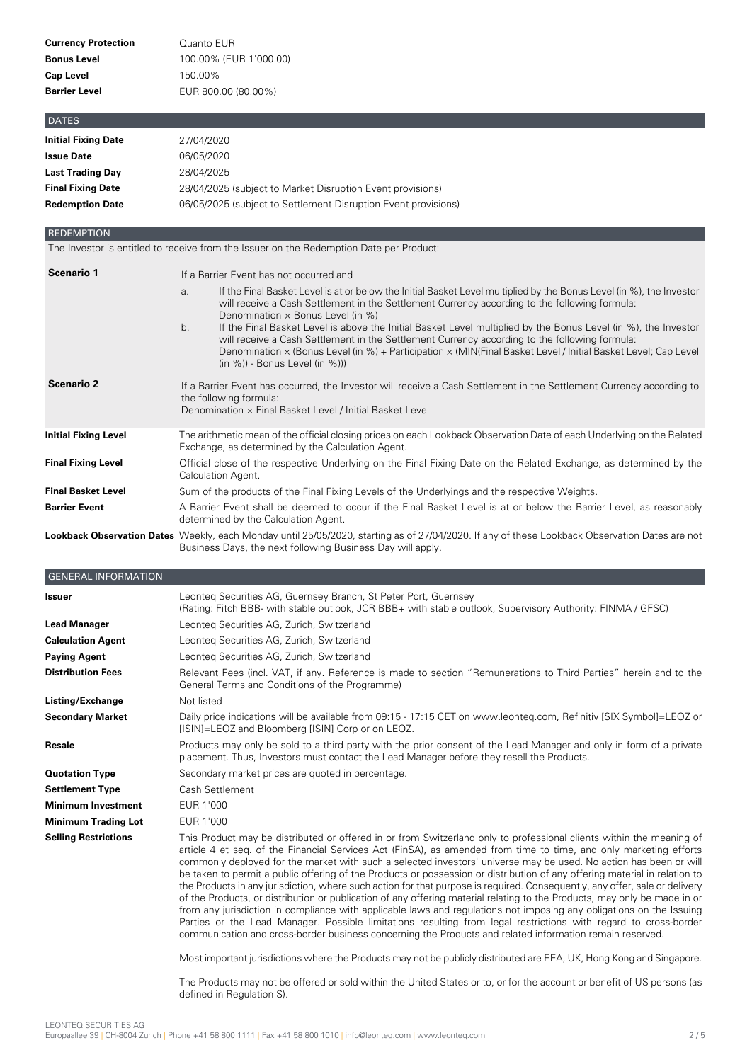| <b>Currency Protection</b> | Quanto EUR             |
|----------------------------|------------------------|
| <b>Bonus Level</b>         | 100.00% (EUR 1'000.00) |
| <b>Cap Level</b>           | 150.00%                |
| <b>Barrier Level</b>       | EUR 800.00 (80.00%)    |
|                            |                        |

| <b>I DATES</b>             |                                                                |
|----------------------------|----------------------------------------------------------------|
| <b>Initial Fixing Date</b> | 27/04/2020                                                     |
| <b>Issue Date</b>          | 06/05/2020                                                     |
| <b>Last Trading Day</b>    | 28/04/2025                                                     |
| <b>Final Fixing Date</b>   | 28/04/2025 (subject to Market Disruption Event provisions)     |
| <b>Redemption Date</b>     | 06/05/2025 (subject to Settlement Disruption Event provisions) |

**REDEMPTION** 

The Investor is entitled to receive from the Issuer on the Redemption Date per Product:

| <b>Scenario 1</b>           | If a Barrier Event has not occurred and                                                                                                                                                                                                                                                                                                                                     |  |  |  |  |
|-----------------------------|-----------------------------------------------------------------------------------------------------------------------------------------------------------------------------------------------------------------------------------------------------------------------------------------------------------------------------------------------------------------------------|--|--|--|--|
|                             | If the Final Basket Level is at or below the Initial Basket Level multiplied by the Bonus Level (in %), the Investor<br>a.<br>will receive a Cash Settlement in the Settlement Currency according to the following formula:<br>Denomination $\times$ Bonus Level (in %)                                                                                                     |  |  |  |  |
|                             | If the Final Basket Level is above the Initial Basket Level multiplied by the Bonus Level (in %), the Investor<br>b.<br>will receive a Cash Settlement in the Settlement Currency according to the following formula:<br>Denomination × (Bonus Level (in %) + Participation × (MIN(Final Basket Level / Initial Basket Level; Cap Level<br>$(in %)$ - Bonus Level $(in %))$ |  |  |  |  |
| <b>Scenario 2</b>           | If a Barrier Event has occurred, the Investor will receive a Cash Settlement in the Settlement Currency according to<br>the following formula:<br>Denomination x Final Basket Level / Initial Basket Level                                                                                                                                                                  |  |  |  |  |
| <b>Initial Fixing Level</b> | The arithmetic mean of the official closing prices on each Lookback Observation Date of each Underlying on the Related<br>Exchange, as determined by the Calculation Agent.                                                                                                                                                                                                 |  |  |  |  |
| <b>Final Fixing Level</b>   | Official close of the respective Underlying on the Final Fixing Date on the Related Exchange, as determined by the<br>Calculation Agent.                                                                                                                                                                                                                                    |  |  |  |  |
| <b>Final Basket Level</b>   | Sum of the products of the Final Fixing Levels of the Underlyings and the respective Weights.                                                                                                                                                                                                                                                                               |  |  |  |  |
| <b>Barrier Event</b>        | A Barrier Event shall be deemed to occur if the Final Basket Level is at or below the Barrier Level, as reasonably<br>determined by the Calculation Agent.                                                                                                                                                                                                                  |  |  |  |  |
|                             | Lookback Observation Dates Weekly, each Monday until 25/05/2020, starting as of 27/04/2020. If any of these Lookback Observation Dates are not<br>Business Days, the next following Business Day will apply.                                                                                                                                                                |  |  |  |  |

| <b>GENERAL INFORMATION</b>  |                                                                                                                                                                                                                                                                                                                                                                                                                                                                                                                                                                                                                                                                                                                                                                                                                                                                                                                                                                                                                                                                                                                 |
|-----------------------------|-----------------------------------------------------------------------------------------------------------------------------------------------------------------------------------------------------------------------------------------------------------------------------------------------------------------------------------------------------------------------------------------------------------------------------------------------------------------------------------------------------------------------------------------------------------------------------------------------------------------------------------------------------------------------------------------------------------------------------------------------------------------------------------------------------------------------------------------------------------------------------------------------------------------------------------------------------------------------------------------------------------------------------------------------------------------------------------------------------------------|
| <b>Issuer</b>               | Leonteg Securities AG, Guernsey Branch, St Peter Port, Guernsey<br>(Rating: Fitch BBB- with stable outlook, JCR BBB+ with stable outlook, Supervisory Authority: FINMA / GFSC)                                                                                                                                                                                                                                                                                                                                                                                                                                                                                                                                                                                                                                                                                                                                                                                                                                                                                                                                  |
| <b>Lead Manager</b>         | Leonteg Securities AG, Zurich, Switzerland                                                                                                                                                                                                                                                                                                                                                                                                                                                                                                                                                                                                                                                                                                                                                                                                                                                                                                                                                                                                                                                                      |
| <b>Calculation Agent</b>    | Leonteg Securities AG, Zurich, Switzerland                                                                                                                                                                                                                                                                                                                                                                                                                                                                                                                                                                                                                                                                                                                                                                                                                                                                                                                                                                                                                                                                      |
| <b>Paying Agent</b>         | Leonteg Securities AG, Zurich, Switzerland                                                                                                                                                                                                                                                                                                                                                                                                                                                                                                                                                                                                                                                                                                                                                                                                                                                                                                                                                                                                                                                                      |
| <b>Distribution Fees</b>    | Relevant Fees (incl. VAT, if any. Reference is made to section "Remunerations to Third Parties" herein and to the<br>General Terms and Conditions of the Programme)                                                                                                                                                                                                                                                                                                                                                                                                                                                                                                                                                                                                                                                                                                                                                                                                                                                                                                                                             |
| Listing/Exchange            | Not listed                                                                                                                                                                                                                                                                                                                                                                                                                                                                                                                                                                                                                                                                                                                                                                                                                                                                                                                                                                                                                                                                                                      |
| <b>Secondary Market</b>     | Daily price indications will be available from 09:15 - 17:15 CET on www.leonteg.com, Refinitiv [SIX Symbol]=LEOZ or<br>[ISIN]=LEOZ and Bloomberg [ISIN] Corp or on LEOZ.                                                                                                                                                                                                                                                                                                                                                                                                                                                                                                                                                                                                                                                                                                                                                                                                                                                                                                                                        |
| <b>Resale</b>               | Products may only be sold to a third party with the prior consent of the Lead Manager and only in form of a private<br>placement. Thus, Investors must contact the Lead Manager before they resell the Products.                                                                                                                                                                                                                                                                                                                                                                                                                                                                                                                                                                                                                                                                                                                                                                                                                                                                                                |
| <b>Quotation Type</b>       | Secondary market prices are quoted in percentage.                                                                                                                                                                                                                                                                                                                                                                                                                                                                                                                                                                                                                                                                                                                                                                                                                                                                                                                                                                                                                                                               |
| <b>Settlement Type</b>      | Cash Settlement                                                                                                                                                                                                                                                                                                                                                                                                                                                                                                                                                                                                                                                                                                                                                                                                                                                                                                                                                                                                                                                                                                 |
| <b>Minimum Investment</b>   | EUR 1'000                                                                                                                                                                                                                                                                                                                                                                                                                                                                                                                                                                                                                                                                                                                                                                                                                                                                                                                                                                                                                                                                                                       |
| <b>Minimum Trading Lot</b>  | EUR 1'000                                                                                                                                                                                                                                                                                                                                                                                                                                                                                                                                                                                                                                                                                                                                                                                                                                                                                                                                                                                                                                                                                                       |
| <b>Selling Restrictions</b> | This Product may be distributed or offered in or from Switzerland only to professional clients within the meaning of<br>article 4 et seq. of the Financial Services Act (FinSA), as amended from time to time, and only marketing efforts<br>commonly deployed for the market with such a selected investors' universe may be used. No action has been or will<br>be taken to permit a public offering of the Products or possession or distribution of any offering material in relation to<br>the Products in any jurisdiction, where such action for that purpose is required. Consequently, any offer, sale or delivery<br>of the Products, or distribution or publication of any offering material relating to the Products, may only be made in or<br>from any jurisdiction in compliance with applicable laws and regulations not imposing any obligations on the Issuing<br>Parties or the Lead Manager. Possible limitations resulting from legal restrictions with regard to cross-border<br>communication and cross-border business concerning the Products and related information remain reserved. |
|                             | Most important jurisdictions where the Products may not be publicly distributed are EEA, UK, Hong Kong and Singapore.                                                                                                                                                                                                                                                                                                                                                                                                                                                                                                                                                                                                                                                                                                                                                                                                                                                                                                                                                                                           |
|                             | The Products may not be offered or sold within the United States or to, or for the account or benefit of US persons (as                                                                                                                                                                                                                                                                                                                                                                                                                                                                                                                                                                                                                                                                                                                                                                                                                                                                                                                                                                                         |

defined in Regulation S).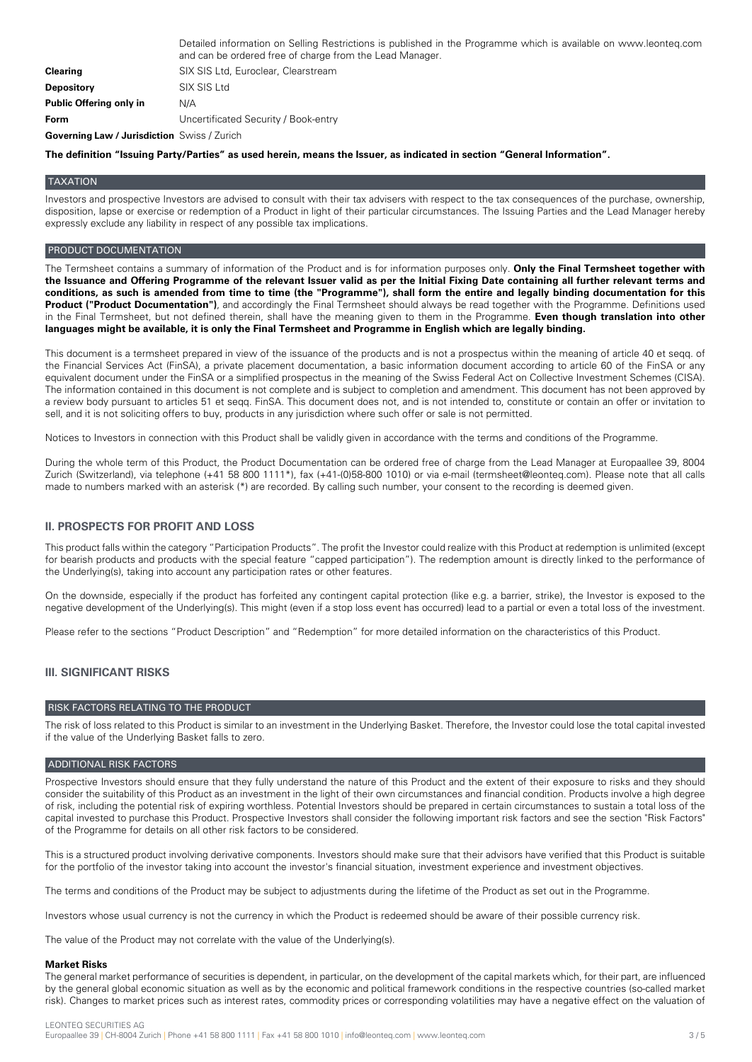|                         | Detailed information on Selling Restrictions is published in the Programme which is available on www.leonteg.com<br>and can be ordered free of charge from the Lead Manager. |
|-------------------------|------------------------------------------------------------------------------------------------------------------------------------------------------------------------------|
| <b>Clearing</b>         | SIX SIS Ltd, Euroclear, Clearstream                                                                                                                                          |
| <b>Depository</b>       | SIX SIS Ltd                                                                                                                                                                  |
| Public Offering only in | N/A                                                                                                                                                                          |
| Form                    | Uncertificated Security / Book-entry                                                                                                                                         |
|                         |                                                                                                                                                                              |

**Governing Law / Jurisdiction** Swiss / Zurich

The definition "Issuing Party/Parties" as used herein, means the Issuer, as indicated in section "General Information".

#### TAXATION

Investors and prospective Investors are advised to consult with their tax advisers with respect to the tax consequences of the purchase, ownership, disposition, lapse or exercise or redemption of a Product in light of their particular circumstances. The Issuing Parties and the Lead Manager hereby expressly exclude any liability in respect of any possible tax implications.

#### PRODUCT DOCUMENTATION

The Termsheet contains a summary of information of the Product and is for information purposes only. **Only the Final Termsheet together with** the Issuance and Offering Programme of the relevant Issuer valid as per the Initial Fixing Date containing all further relevant terms and conditions, as such is amended from time to time (the "Programme"), shall form the entire and legally binding documentation for this **Product ("Product Documentation")**, and accordingly the Final Termsheet should always be read together with the Programme. Definitions used in the Final Termsheet, but not defined therein, shall have the meaning given to them in the Programme. **Even though translation into other** languages might be available, it is only the Final Termsheet and Programme in English which are legally binding.

This document is a termsheet prepared in view of the issuance of the products and is not a prospectus within the meaning of article 40 et seqq. of the Financial Services Act (FinSA), a private placement documentation, a basic information document according to article 60 of the FinSA or any equivalent document under the FinSA or a simplified prospectus in the meaning of the Swiss Federal Act on Collective Investment Schemes (CISA). The information contained in this document is not complete and is subject to completion and amendment. This document has not been approved by a review body pursuant to articles 51 et seqq. FinSA. This document does not, and is not intended to, constitute or contain an offer or invitation to sell, and it is not soliciting offers to buy, products in any jurisdiction where such offer or sale is not permitted.

Notices to Investors in connection with this Product shall be validly given in accordance with the terms and conditions of the Programme.

During the whole term of this Product, the Product Documentation can be ordered free of charge from the Lead Manager at Europaallee 39, 8004 Zurich (Switzerland), via telephone (+41 58 800 1111\*), fax (+41-(0)58-800 1010) or via e-mail (termsheet@leonteq.com). Please note that all calls made to numbers marked with an asterisk (\*) are recorded. By calling such number, your consent to the recording is deemed given.

## **II. PROSPECTS FOR PROFIT AND LOSS**

This product falls within the category "Participation Products". The profit the Investor could realize with this Product at redemption is unlimited (except for bearish products and products with the special feature "capped participation"). The redemption amount is directly linked to the performance of the Underlying(s), taking into account any participation rates or other features.

On the downside, especially if the product has forfeited any contingent capital protection (like e.g. a barrier, strike), the Investor is exposed to the negative development of the Underlying(s). This might (even if a stop loss event has occurred) lead to a partial or even a total loss of the investment.

Please refer to the sections "Product Description" and "Redemption" for more detailed information on the characteristics of this Product.

#### **III. SIGNIFICANT RISKS**

#### RISK FACTORS RELATING TO THE PRODUCT

The risk of loss related to this Product is similar to an investment in the Underlying Basket. Therefore, the Investor could lose the total capital invested if the value of the Underlying Basket falls to zero.

#### ADDITIONAL RISK FACTORS

Prospective Investors should ensure that they fully understand the nature of this Product and the extent of their exposure to risks and they should consider the suitability of this Product as an investment in the light of their own circumstances and financial condition. Products involve a high degree of risk, including the potential risk of expiring worthless. Potential Investors should be prepared in certain circumstances to sustain a total loss of the capital invested to purchase this Product. Prospective Investors shall consider the following important risk factors and see the section "Risk Factors" of the Programme for details on all other risk factors to be considered.

This is a structured product involving derivative components. Investors should make sure that their advisors have verified that this Product is suitable for the portfolio of the investor taking into account the investor's financial situation, investment experience and investment objectives.

The terms and conditions of the Product may be subject to adjustments during the lifetime of the Product as set out in the Programme.

Investors whose usual currency is not the currency in which the Product is redeemed should be aware of their possible currency risk.

The value of the Product may not correlate with the value of the Underlying(s).

#### **Market Risks**

The general market performance of securities is dependent, in particular, on the development of the capital markets which, for their part, are influenced by the general global economic situation as well as by the economic and political framework conditions in the respective countries (so-called market risk). Changes to market prices such as interest rates, commodity prices or corresponding volatilities may have a negative effect on the valuation of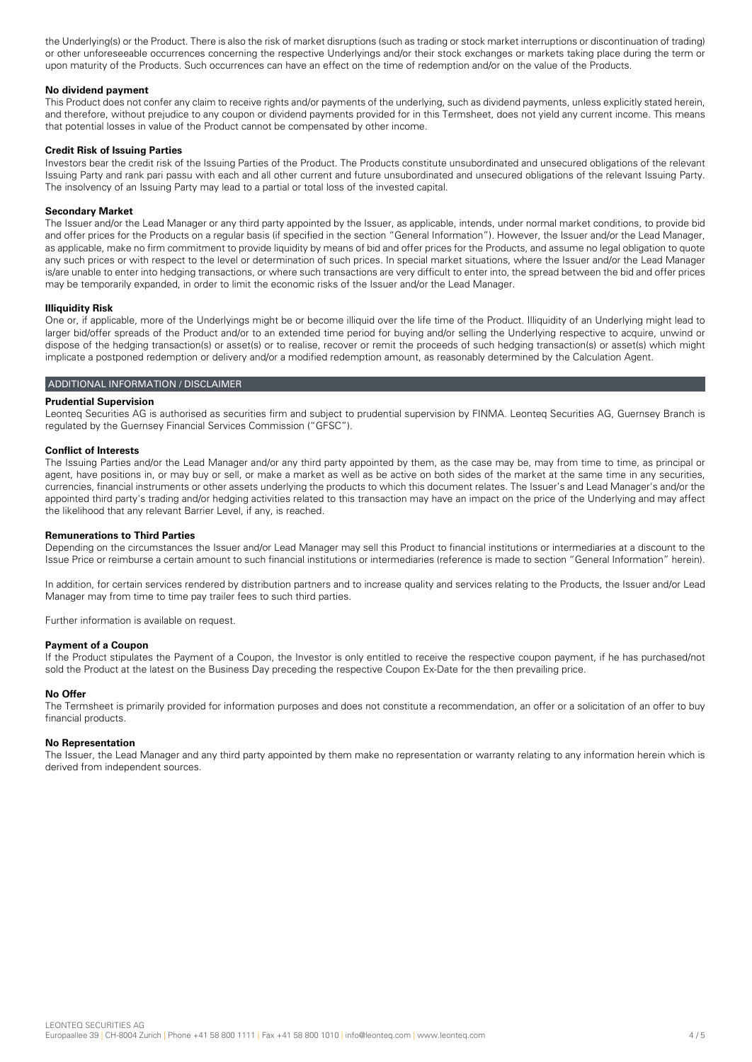the Underlying(s) or the Product. There is also the risk of market disruptions (such as trading or stock market interruptions or discontinuation of trading) or other unforeseeable occurrences concerning the respective Underlyings and/or their stock exchanges or markets taking place during the term or upon maturity of the Products. Such occurrences can have an effect on the time of redemption and/or on the value of the Products.

## **No dividend payment**

This Product does not confer any claim to receive rights and/or payments of the underlying, such as dividend payments, unless explicitly stated herein, and therefore, without prejudice to any coupon or dividend payments provided for in this Termsheet, does not yield any current income. This means that potential losses in value of the Product cannot be compensated by other income.

## **Credit Risk of Issuing Parties**

Investors bear the credit risk of the Issuing Parties of the Product. The Products constitute unsubordinated and unsecured obligations of the relevant Issuing Party and rank pari passu with each and all other current and future unsubordinated and unsecured obligations of the relevant Issuing Party. The insolvency of an Issuing Party may lead to a partial or total loss of the invested capital.

## **Secondary Market**

The Issuer and/or the Lead Manager or any third party appointed by the Issuer, as applicable, intends, under normal market conditions, to provide bid and offer prices for the Products on a regular basis (if specified in the section "General Information"). However, the Issuer and/or the Lead Manager, as applicable, make no firm commitment to provide liquidity by means of bid and offer prices for the Products, and assume no legal obligation to quote any such prices or with respect to the level or determination of such prices. In special market situations, where the Issuer and/or the Lead Manager is/are unable to enter into hedging transactions, or where such transactions are very difficult to enter into, the spread between the bid and offer prices may be temporarily expanded, in order to limit the economic risks of the Issuer and/or the Lead Manager.

#### **Illiquidity Risk**

One or, if applicable, more of the Underlyings might be or become illiquid over the life time of the Product. Illiquidity of an Underlying might lead to larger bid/offer spreads of the Product and/or to an extended time period for buying and/or selling the Underlying respective to acquire, unwind or dispose of the hedging transaction(s) or asset(s) or to realise, recover or remit the proceeds of such hedging transaction(s) or asset(s) which might implicate a postponed redemption or delivery and/or a modified redemption amount, as reasonably determined by the Calculation Agent.

#### ADDITIONAL INFORMATION / DISCLAIMER

# **Prudential Supervision**

Leonteq Securities AG is authorised as securities firm and subject to prudential supervision by FINMA. Leonteq Securities AG, Guernsey Branch is regulated by the Guernsey Financial Services Commission ("GFSC").

## **Conflict of Interests**

The Issuing Parties and/or the Lead Manager and/or any third party appointed by them, as the case may be, may from time to time, as principal or agent, have positions in, or may buy or sell, or make a market as well as be active on both sides of the market at the same time in any securities, currencies, financial instruments or other assets underlying the products to which this document relates. The Issuer's and Lead Manager's and/or the appointed third party's trading and/or hedging activities related to this transaction may have an impact on the price of the Underlying and may affect the likelihood that any relevant Barrier Level, if any, is reached.

#### **Remunerations to Third Parties**

Depending on the circumstances the Issuer and/or Lead Manager may sell this Product to financial institutions or intermediaries at a discount to the Issue Price or reimburse a certain amount to such financial institutions or intermediaries (reference is made to section "General Information" herein).

In addition, for certain services rendered by distribution partners and to increase quality and services relating to the Products, the Issuer and/or Lead Manager may from time to time pay trailer fees to such third parties.

Further information is available on request.

#### **Payment of a Coupon**

If the Product stipulates the Payment of a Coupon, the Investor is only entitled to receive the respective coupon payment, if he has purchased/not sold the Product at the latest on the Business Day preceding the respective Coupon Ex-Date for the then prevailing price.

#### **No Offer**

The Termsheet is primarily provided for information purposes and does not constitute a recommendation, an offer or a solicitation of an offer to buy financial products.

#### **No Representation**

The Issuer, the Lead Manager and any third party appointed by them make no representation or warranty relating to any information herein which is derived from independent sources.